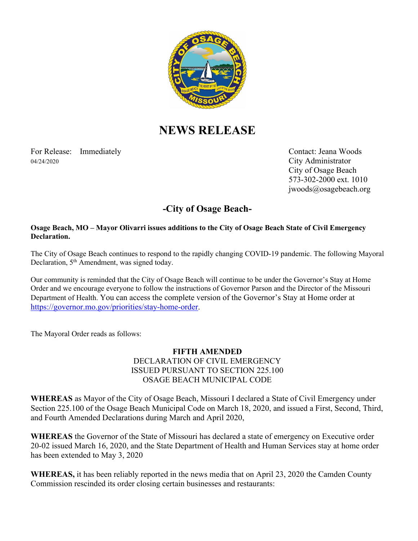

# **NEWS RELEASE**

For Release: Immediately Contact: Jeana Woods 04/24/2020 City Administrator

City of Osage Beach 573-302-2000 ext. 1010 jwoods@osagebeach.org

# **-City of Osage Beach-**

#### **Osage Beach, MO – Mayor Olivarri issues additions to the City of Osage Beach State of Civil Emergency Declaration.**

The City of Osage Beach continues to respond to the rapidly changing COVID-19 pandemic. The following Mayoral Declaration, 5<sup>th</sup> Amendment, was signed today.

Our community is reminded that the City of Osage Beach will continue to be under the Governor's Stay at Home Order and we encourage everyone to follow the instructions of Governor Parson and the Director of the Missouri Department of Health. You can access the complete version of the Governor's Stay at Home order at [https://governor.mo.gov/priorities/stay-home-order.](https://governor.mo.gov/priorities/stay-home-order)

The Mayoral Order reads as follows:

#### **FIFTH AMENDED**  DECLARATION OF CIVIL EMERGENCY ISSUED PURSUANT TO SECTION 225.100 OSAGE BEACH MUNICIPAL CODE

**WHEREAS** as Mayor of the City of Osage Beach, Missouri I declared a State of Civil Emergency under Section 225.100 of the Osage Beach Municipal Code on March 18, 2020, and issued a First, Second, Third, and Fourth Amended Declarations during March and April 2020,

**WHEREAS** the Governor of the State of Missouri has declared a state of emergency on Executive order 20-02 issued March 16, 2020, and the State Department of Health and Human Services stay at home order has been extended to May 3, 2020

**WHEREAS,** it has been reliably reported in the news media that on April 23, 2020 the Camden County Commission rescinded its order closing certain businesses and restaurants: